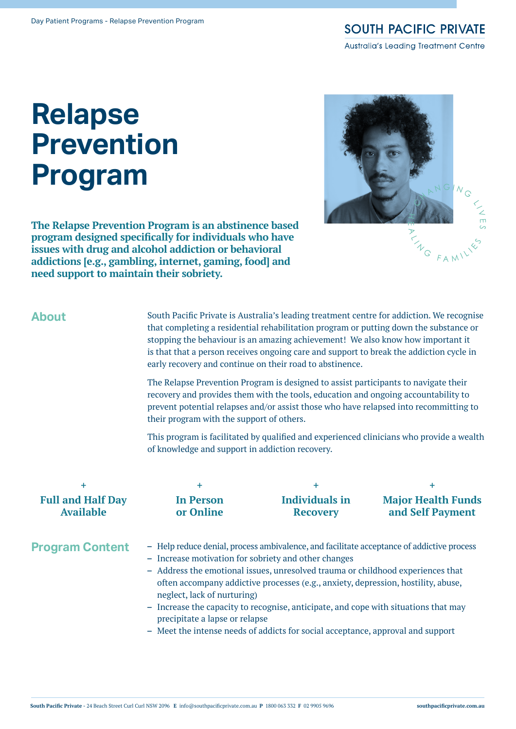**SOUTH PACIFIC PRIVATE** Australia's Leading Treatment Centre

**Relapse Prevention Program**

**The Relapse Prevention Program is an abstinence based program designed specifically for individuals who have issues with drug and alcohol addiction or behavioral addictions [e.g., gambling, internet, gaming, food] and need support to maintain their sobriety.**

## **About**

South Pacific Private is Australia's leading treatment centre for addiction. We recognise that completing a residential rehabilitation program or putting down the substance or stopping the behaviour is an amazing achievement! We also know how important it is that that a person receives ongoing care and support to break the addiction cycle in early recovery and continue on their road to abstinence.

The Relapse Prevention Program is designed to assist participants to navigate their recovery and provides them with the tools, education and ongoing accountability to prevent potential relapses and/or assist those who have relapsed into recommitting to their program with the support of others.

This program is facilitated by qualified and experienced clinicians who provide a wealth of knowledge and support in addiction recovery.

| ٠                                            | ÷                                                                                                                                                                                                     | ┿                                                                                                                                                                    | ٠                                                                                         |
|----------------------------------------------|-------------------------------------------------------------------------------------------------------------------------------------------------------------------------------------------------------|----------------------------------------------------------------------------------------------------------------------------------------------------------------------|-------------------------------------------------------------------------------------------|
| <b>Full and Half Day</b><br><b>Available</b> | <b>In Person</b><br>or Online                                                                                                                                                                         | <b>Individuals in</b><br><b>Recovery</b>                                                                                                                             | <b>Major Health Funds</b><br>and Self Payment                                             |
| <b>Program Content</b>                       | - Increase motivation for sobriety and other changes<br>neglect, lack of nurturing)                                                                                                                   | - Address the emotional issues, unresolved trauma or childhood experiences that<br>often accompany addictive processes (e.g., anxiety, depression, hostility, abuse, | - Help reduce denial, process ambivalence, and facilitate acceptance of addictive process |
|                                              | - Increase the capacity to recognise, anticipate, and cope with situations that may<br>precipitate a lapse or relapse<br>Most the intense needs of addicts for social accontance approval and support |                                                                                                                                                                      |                                                                                           |

– Meet the intense needs of addicts for social acceptance, approval and support